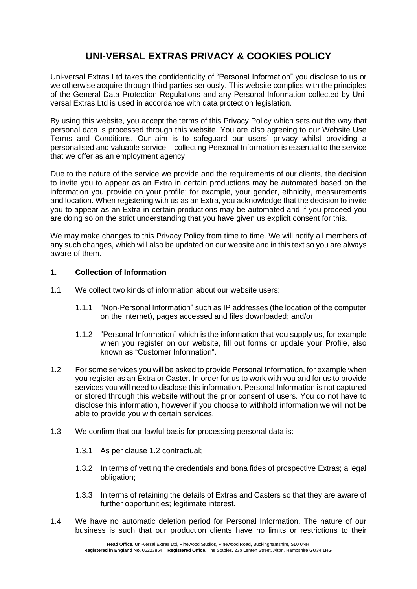# **UNI-VERSAL EXTRAS PRIVACY & COOKIES POLICY**

Uni-versal Extras Ltd takes the confidentiality of "Personal Information" you disclose to us or we otherwise acquire through third parties seriously. This website complies with the principles of the General Data Protection Regulations and any Personal Information collected by Universal Extras Ltd is used in accordance with data protection legislation.

By using this website, you accept the terms of this Privacy Policy which sets out the way that personal data is processed through this website. You are also agreeing to our Website Use Terms and Conditions. Our aim is to safeguard our users' privacy whilst providing a personalised and valuable service – collecting Personal Information is essential to the service that we offer as an employment agency.

Due to the nature of the service we provide and the requirements of our clients, the decision to invite you to appear as an Extra in certain productions may be automated based on the information you provide on your profile; for example, your gender, ethnicity, measurements and location. When registering with us as an Extra, you acknowledge that the decision to invite you to appear as an Extra in certain productions may be automated and if you proceed you are doing so on the strict understanding that you have given us explicit consent for this.

We may make changes to this Privacy Policy from time to time. We will notify all members of any such changes, which will also be updated on our website and in this text so you are always aware of them.

#### **1. Collection of Information**

- 1.1 We collect two kinds of information about our website users:
	- 1.1.1 "Non-Personal Information" such as IP addresses (the location of the computer on the internet), pages accessed and files downloaded; and/or
	- 1.1.2 "Personal Information" which is the information that you supply us, for example when you register on our website, fill out forms or update your Profile, also known as "Customer Information".
- 1.2 For some services you will be asked to provide Personal Information, for example when you register as an Extra or Caster. In order for us to work with you and for us to provide services you will need to disclose this information. Personal Information is not captured or stored through this website without the prior consent of users. You do not have to disclose this information, however if you choose to withhold information we will not be able to provide you with certain services.
- 1.3 We confirm that our lawful basis for processing personal data is:
	- 1.3.1 As per clause 1.2 contractual;
	- 1.3.2 In terms of vetting the credentials and bona fides of prospective Extras; a legal obligation;
	- 1.3.3 In terms of retaining the details of Extras and Casters so that they are aware of further opportunities: legitimate interest.
- 1.4 We have no automatic deletion period for Personal Information. The nature of our business is such that our production clients have no limits or restrictions to their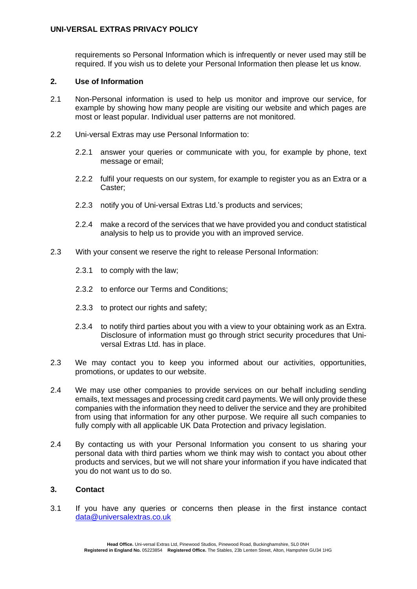#### **UNI-VERSAL EXTRAS PRIVACY POLICY**

requirements so Personal Information which is infrequently or never used may still be required. If you wish us to delete your Personal Information then please let us know.

#### **2. Use of Information**

- 2.1 Non-Personal information is used to help us monitor and improve our service, for example by showing how many people are visiting our website and which pages are most or least popular. Individual user patterns are not monitored.
- 2.2 Uni-versal Extras may use Personal Information to:
	- 2.2.1 answer your queries or communicate with you, for example by phone, text message or email;
	- 2.2.2 fulfil your requests on our system, for example to register you as an Extra or a Caster;
	- 2.2.3 notify you of Uni-versal Extras Ltd.'s products and services;
	- 2.2.4 make a record of the services that we have provided you and conduct statistical analysis to help us to provide you with an improved service.
- 2.3 With your consent we reserve the right to release Personal Information:
	- 2.3.1 to comply with the law;
	- 2.3.2 to enforce our Terms and Conditions;
	- 2.3.3 to protect our rights and safety;
	- 2.3.4 to notify third parties about you with a view to your obtaining work as an Extra. Disclosure of information must go through strict security procedures that Universal Extras Ltd. has in place.
- 2.3 We may contact you to keep you informed about our activities, opportunities, promotions, or updates to our website.
- 2.4 We may use other companies to provide services on our behalf including sending emails, text messages and processing credit card payments. We will only provide these companies with the information they need to deliver the service and they are prohibited from using that information for any other purpose. We require all such companies to fully comply with all applicable UK Data Protection and privacy legislation.
- 2.4 By contacting us with your Personal Information you consent to us sharing your personal data with third parties whom we think may wish to contact you about other products and services, but we will not share your information if you have indicated that you do not want us to do so.

#### **3. Contact**

3.1 If you have any queries or concerns then please in the first instance contact [data@universalextras.co.uk](mailto:data@universalextras.co.uk)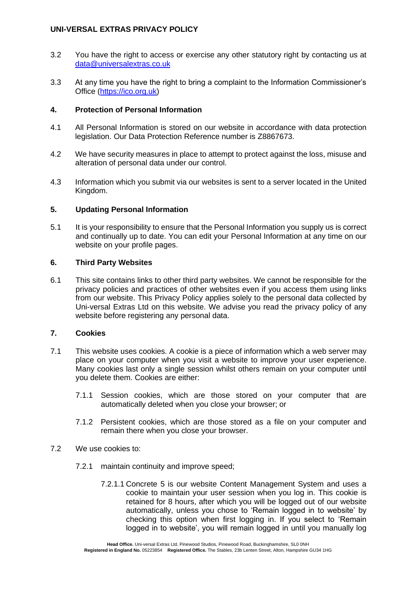### **UNI-VERSAL EXTRAS PRIVACY POLICY**

- 3.2 You have the right to access or exercise any other statutory right by contacting us at [data@universalextras.co.uk](mailto:enquiry@universalextras.co.uk)
- 3.3 At any time you have the right to bring a complaint to the Information Commissioner's Office [\(https://ico.org.uk\)](https://ico.org.uk/)

### **4. Protection of Personal Information**

- 4.1 All Personal Information is stored on our website in accordance with data protection legislation. Our Data Protection Reference number is Z8867673.
- 4.2 We have security measures in place to attempt to protect against the loss, misuse and alteration of personal data under our control.
- 4.3 Information which you submit via our websites is sent to a server located in the United Kingdom.

## **5. Updating Personal Information**

5.1 It is your responsibility to ensure that the Personal Information you supply us is correct and continually up to date. You can edit your Personal Information at any time on our website on your profile pages.

#### **6. Third Party Websites**

6.1 This site contains links to other third party websites. We cannot be responsible for the privacy policies and practices of other websites even if you access them using links from our website. This Privacy Policy applies solely to the personal data collected by Uni-versal Extras Ltd on this website. We advise you read the privacy policy of any website before registering any personal data.

## **7. Cookies**

- 7.1 This website uses cookies. A cookie is a piece of information which a web server may place on your computer when you visit a website to improve your user experience. Many cookies last only a single session whilst others remain on your computer until you delete them. Cookies are either:
	- 7.1.1 Session cookies, which are those stored on your computer that are automatically deleted when you close your browser; or
	- 7.1.2 Persistent cookies, which are those stored as a file on your computer and remain there when you close your browser.
- 7.2 We use cookies to:
	- 7.2.1 maintain continuity and improve speed;
		- 7.2.1.1 Concrete 5 is our website Content Management System and uses a cookie to maintain your user session when you log in. This cookie is retained for 8 hours, after which you will be logged out of our website automatically, unless you chose to 'Remain logged in to website' by checking this option when first logging in. If you select to 'Remain logged in to website', you will remain logged in until you manually log